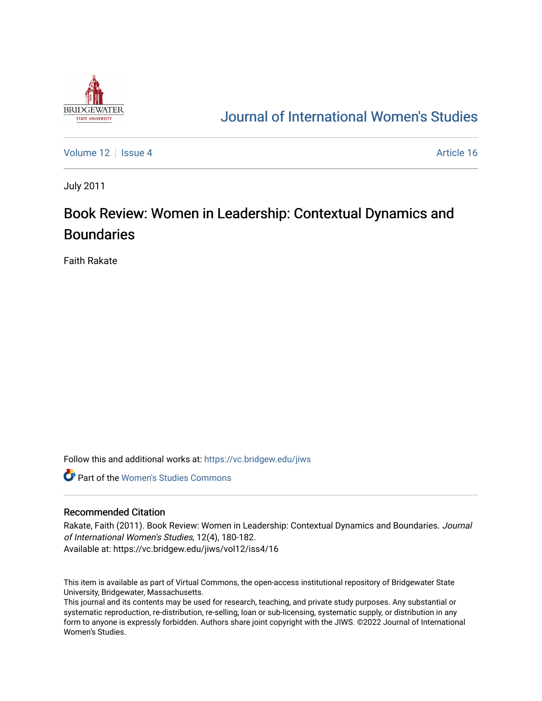

## [Journal of International Women's Studies](https://vc.bridgew.edu/jiws)

[Volume 12](https://vc.bridgew.edu/jiws/vol12) Setup 4 Article 16

July 2011

# Book Review: Women in Leadership: Contextual Dynamics and **Boundaries**

Faith Rakate

Follow this and additional works at: [https://vc.bridgew.edu/jiws](https://vc.bridgew.edu/jiws?utm_source=vc.bridgew.edu%2Fjiws%2Fvol12%2Fiss4%2F16&utm_medium=PDF&utm_campaign=PDFCoverPages)

**C** Part of the Women's Studies Commons

#### Recommended Citation

Rakate, Faith (2011). Book Review: Women in Leadership: Contextual Dynamics and Boundaries. Journal of International Women's Studies, 12(4), 180-182. Available at: https://vc.bridgew.edu/jiws/vol12/iss4/16

This item is available as part of Virtual Commons, the open-access institutional repository of Bridgewater State University, Bridgewater, Massachusetts.

This journal and its contents may be used for research, teaching, and private study purposes. Any substantial or systematic reproduction, re-distribution, re-selling, loan or sub-licensing, systematic supply, or distribution in any form to anyone is expressly forbidden. Authors share joint copyright with the JIWS. ©2022 Journal of International Women's Studies.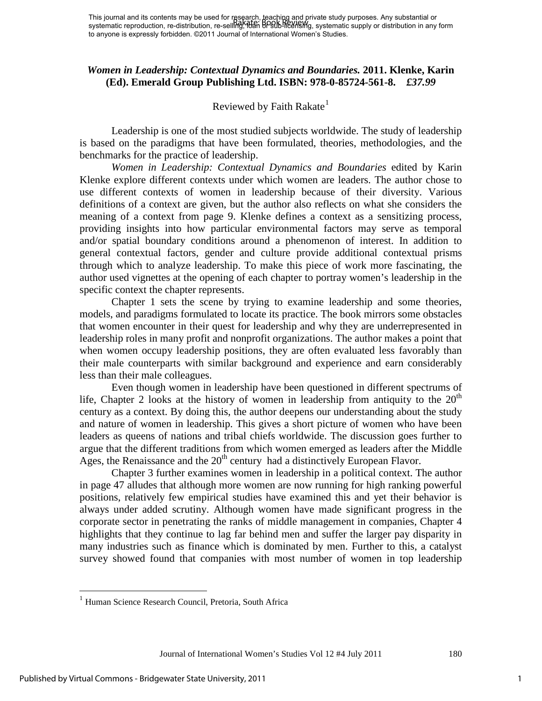### *Women in Leadership: Contextual Dynamics and Boundaries.* **2011. Klenke, Karin (Ed). Emerald Group Publishing Ltd. ISBN: 978-0-85724-561-8.** *£37.99*

## Reviewed by Faith Rakate $<sup>1</sup>$  $<sup>1</sup>$  $<sup>1</sup>$ </sup>

Leadership is one of the most studied subjects worldwide. The study of leadership is based on the paradigms that have been formulated, theories, methodologies, and the benchmarks for the practice of leadership.

*Women in Leadership: Contextual Dynamics and Boundaries* edited by Karin Klenke explore different contexts under which women are leaders. The author chose to use different contexts of women in leadership because of their diversity. Various definitions of a context are given, but the author also reflects on what she considers the meaning of a context from page 9. Klenke defines a context as a sensitizing process, providing insights into how particular environmental factors may serve as temporal and/or spatial boundary conditions around a phenomenon of interest. In addition to general contextual factors, gender and culture provide additional contextual prisms through which to analyze leadership. To make this piece of work more fascinating, the author used vignettes at the opening of each chapter to portray women's leadership in the specific context the chapter represents.

Chapter 1 sets the scene by trying to examine leadership and some theories, models, and paradigms formulated to locate its practice. The book mirrors some obstacles that women encounter in their quest for leadership and why they are underrepresented in leadership roles in many profit and nonprofit organizations. The author makes a point that when women occupy leadership positions, they are often evaluated less favorably than their male counterparts with similar background and experience and earn considerably less than their male colleagues.

Even though women in leadership have been questioned in different spectrums of life, Chapter 2 looks at the history of women in leadership from antiquity to the  $20<sup>th</sup>$ century as a context. By doing this, the author deepens our understanding about the study and nature of women in leadership. This gives a short picture of women who have been leaders as queens of nations and tribal chiefs worldwide. The discussion goes further to argue that the different traditions from which women emerged as leaders after the Middle Ages, the Renaissance and the  $20<sup>th</sup>$  century had a distinctively European Flavor.

Chapter 3 further examines women in leadership in a political context. The author in page 47 alludes that although more women are now running for high ranking powerful positions, relatively few empirical studies have examined this and yet their behavior is always under added scrutiny. Although women have made significant progress in the corporate sector in penetrating the ranks of middle management in companies, Chapter 4 highlights that they continue to lag far behind men and suffer the larger pay disparity in many industries such as finance which is dominated by men. Further to this, a catalyst survey showed found that companies with most number of women in top leadership

ı

<span id="page-1-0"></span><sup>&</sup>lt;sup>1</sup> Human Science Research Council, Pretoria, South Africa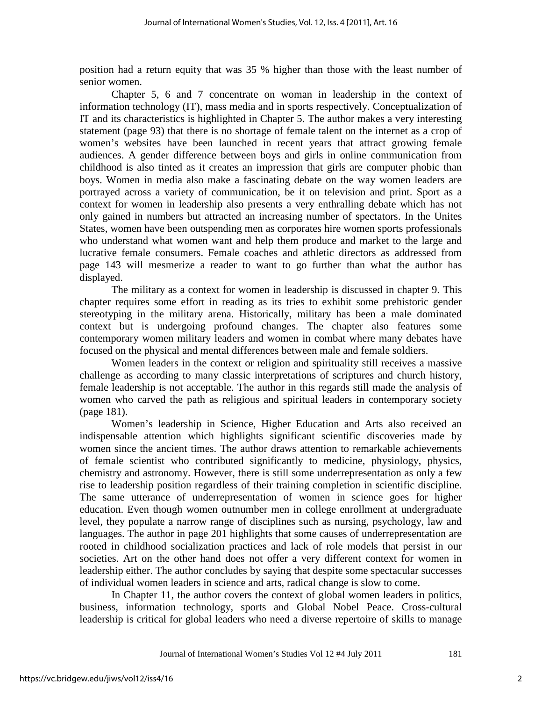position had a return equity that was 35 % higher than those with the least number of senior women.

Chapter 5, 6 and 7 concentrate on woman in leadership in the context of information technology (IT), mass media and in sports respectively. Conceptualization of IT and its characteristics is highlighted in Chapter 5. The author makes a very interesting statement (page 93) that there is no shortage of female talent on the internet as a crop of women's websites have been launched in recent years that attract growing female audiences. A gender difference between boys and girls in online communication from childhood is also tinted as it creates an impression that girls are computer phobic than boys. Women in media also make a fascinating debate on the way women leaders are portrayed across a variety of communication, be it on television and print. Sport as a context for women in leadership also presents a very enthralling debate which has not only gained in numbers but attracted an increasing number of spectators. In the Unites States, women have been outspending men as corporates hire women sports professionals who understand what women want and help them produce and market to the large and lucrative female consumers. Female coaches and athletic directors as addressed from page 143 will mesmerize a reader to want to go further than what the author has displayed.

The military as a context for women in leadership is discussed in chapter 9. This chapter requires some effort in reading as its tries to exhibit some prehistoric gender stereotyping in the military arena. Historically, military has been a male dominated context but is undergoing profound changes. The chapter also features some contemporary women military leaders and women in combat where many debates have focused on the physical and mental differences between male and female soldiers.

Women leaders in the context or religion and spirituality still receives a massive challenge as according to many classic interpretations of scriptures and church history, female leadership is not acceptable. The author in this regards still made the analysis of women who carved the path as religious and spiritual leaders in contemporary society (page 181).

Women's leadership in Science, Higher Education and Arts also received an indispensable attention which highlights significant scientific discoveries made by women since the ancient times. The author draws attention to remarkable achievements of female scientist who contributed significantly to medicine, physiology, physics, chemistry and astronomy. However, there is still some underrepresentation as only a few rise to leadership position regardless of their training completion in scientific discipline. The same utterance of underrepresentation of women in science goes for higher education. Even though women outnumber men in college enrollment at undergraduate level, they populate a narrow range of disciplines such as nursing, psychology, law and languages. The author in page 201 highlights that some causes of underrepresentation are rooted in childhood socialization practices and lack of role models that persist in our societies. Art on the other hand does not offer a very different context for women in leadership either. The author concludes by saying that despite some spectacular successes of individual women leaders in science and arts, radical change is slow to come.

In Chapter 11, the author covers the context of global women leaders in politics, business, information technology, sports and Global Nobel Peace. Cross-cultural leadership is critical for global leaders who need a diverse repertoire of skills to manage